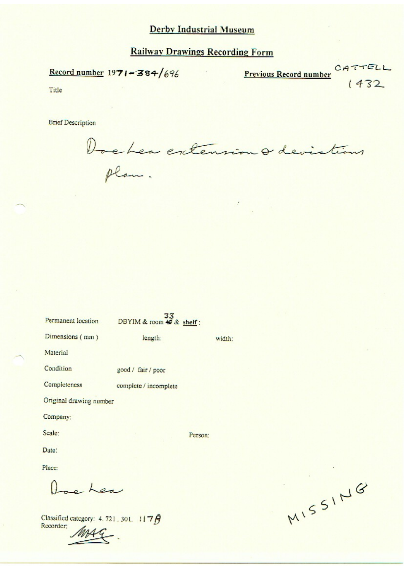## **Railway Drawings Recording Form**

Record number  $1971 - 384/696$ 

Previous Record number CATTELL

Title

**Brief Description** 

Dochen extension a devistions

| Permanent location      | DBYIM & room $\frac{33}{40}$ & shelf: |         |        |
|-------------------------|---------------------------------------|---------|--------|
| Dimensions (mm)         | length:                               |         | width: |
| Material                |                                       |         |        |
| Condition               | good / fair / poor                    |         |        |
| Completeness            | complete / incomplete                 |         |        |
| Original drawing number |                                       |         |        |
| Company:                |                                       |         |        |
| Scale:                  |                                       | Person: |        |
| Date:                   |                                       |         |        |
| Place:                  |                                       |         |        |
| h                       |                                       |         |        |

Classified category: 4.721.301. 1176 Recorder:

MISSING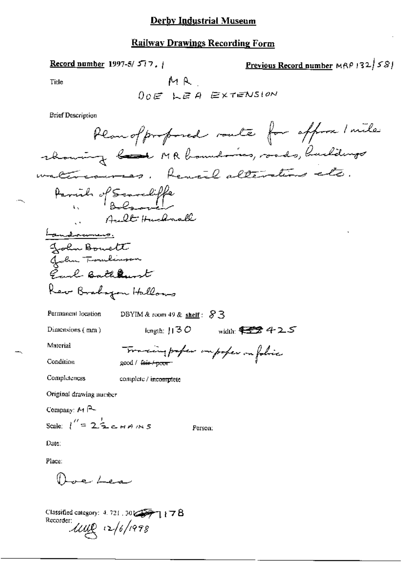## **Railway Drawings Recording Form**

Record number 1997-5/577.

Previous Record number MRP 132/581

Title

**Brief Description** 

| Planofproposed route for approx I mile                        |
|---------------------------------------------------------------|
| rhowing have MR homelones, roads, husballings                 |
| Renal alterations<br>maten caunas                             |
| Parish of Senseliffe                                          |
| Ault Huchmall<br><u>andraming.</u>                            |
| John Bowett                                                   |
| John Tomberson                                                |
| Earl Bathaunt                                                 |
| Kev Brahazan Hallows                                          |
| Permanent location<br>DBYIM & room 49 & shelf: $83$           |
| width: $\frac{1}{2}$ 425<br>Dimensions (mm)<br>length: $  30$ |
| Material<br>Tomaing paper importer on folice                  |
| Condition<br>good / <del>fair / poor</del>                    |
| Completeness<br>complete / incomplete                         |
| Original drawing number                                       |
| Company: $M$ $\rightarrow$                                    |
| Scale: $1'' = 2\frac{1}{2}$ chans<br>Person:                  |
| Date:                                                         |
| Place:                                                        |
| de Lea                                                        |
|                                                               |

Classified category: 4, 721, 30 COPT 1 1 7 B Recorder  $u\&(2/6)/1998$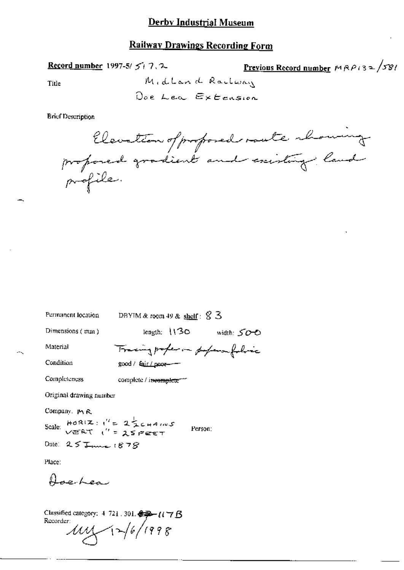#### **Railway Drawings Recording Form**

Record number 1997-5/ $5/7.2$ 

<u>Previous Record number</u>  $MRP/32\sqrt{58}$ 

Title

**Brief Description** 

Elevation of proposed route chowing

| Permanent location                                                                                                                            | DBYIM & room 49 & shelf: $\%$ 3      |  |
|-----------------------------------------------------------------------------------------------------------------------------------------------|--------------------------------------|--|
| Dimensions $(mm)$                                                                                                                             | length: $130$<br>—width: SOO         |  |
| Material                                                                                                                                      | Tracing proper in popera folio       |  |
| Condition                                                                                                                                     | good / fa <u>ir / poor-</u> -        |  |
| Completeness                                                                                                                                  | complete / incomplete <sup>---</sup> |  |
| Original drawing number                                                                                                                       |                                      |  |
| Company, M.R.<br>Scale: $HOR(Z:1^{\prime\prime} = 2\frac{1}{2}C_{HAMUS}$<br>VERT (" = 25 FEET<br>Person:<br>Date: $25$ James $1878$<br>Place: |                                      |  |
| Aperhea<br>Classified category: $4.721$ . 301. $\frac{2.33}{2}$ ( $\left(\frac{1.33}{2}\right)$ B<br>Recorder:<br>11/6/1998                   |                                      |  |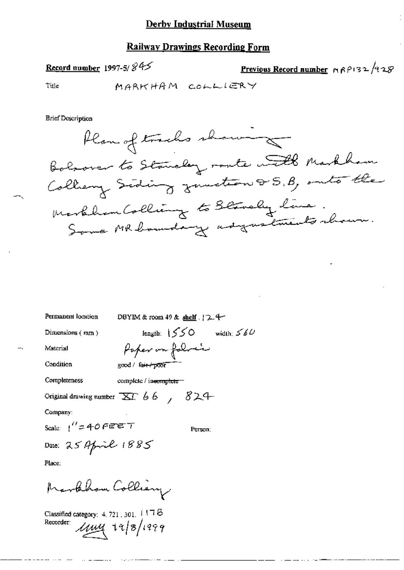#### **Railway Drawings Recording Form**

# Record number 1997-5/ $845$

Previous Record number MAPI32/928

Title

MARKHAM COLLIERY

**Brief Description** 



| Permanent location      | DBYIM & room $49$ & shelf $\frac{1}{2}$ +                                        |
|-------------------------|----------------------------------------------------------------------------------|
| Dimensions $(mn)$       | length: $1550$ width: $560$                                                      |
| Material                | Poper on folial                                                                  |
| Condition               | good / fair / poor                                                               |
| Completeness            | complete / incomplete =                                                          |
|                         | Original drawing number $\overline{\Delta L}$ 6.6, $\overline{\phantom{1}}$ 82.4 |
| Company:                |                                                                                  |
| Scale: $1''$ = 40 FEE T | Person:                                                                          |
| Date: 25 April 1885     |                                                                                  |
| Place:                  |                                                                                  |
|                         |                                                                                  |

Marthham Colliany

Classified category: 4, 721, 301,  $1178$ Recorder: *11m*y 19/8/1999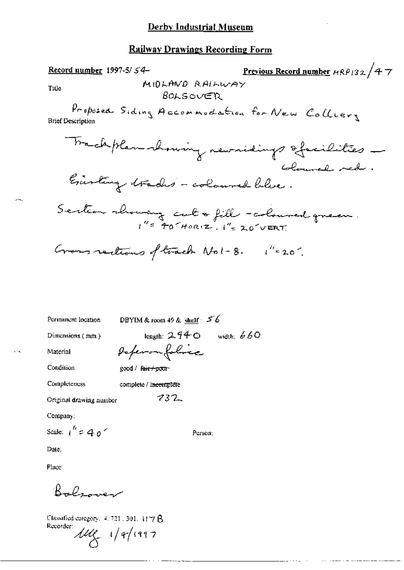# **Railway Drawings Recording Form**

f,

 $\cdots$ 

| Permanent location      | DBYIM & room 49 & shelf: $56$ |
|-------------------------|-------------------------------|
| Dimensions (mm)         | length: $2.940$ width: $660$  |
| Material                | Poperonfolice                 |
| Condition               | good / <del>fair/poor</del> - |
| Completeness            | complete / incomplete         |
| Original drawing number | 732                           |
| Company:                |                               |
| Scale: $1'' = 40'$      | Person:                       |
| Date:                   |                               |
| Place:                  |                               |

Bolsover

Classified category,  $4, 721$  ,  $301$ ,  $1177$   $\upbeta$ Recorder:  $\mu_{\mathcal{C}}$  1/4/1997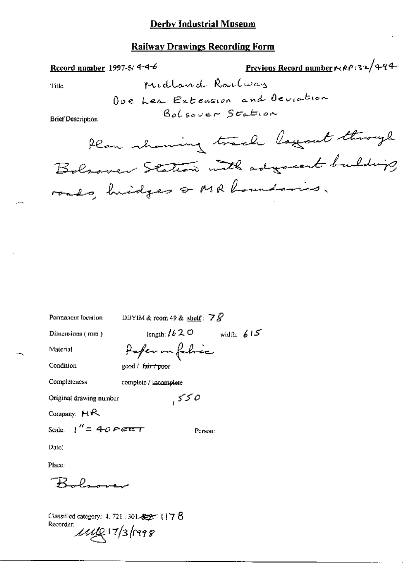# **Railway Drawings Recording Form**

 $\cdot$ 

 $\mathbb{R}^2$ 

Record number 1997-5/4-4-6

Previous Record number MRP132/494

Title

 $\lambda$ 

**Brief Description** 

| Permanent location      | DBYIM & room 49 & shelf : $78$  |
|-------------------------|---------------------------------|
| Dimensions (mm)         | width: $615$<br>length: $/620$  |
| Material                | Pofer on fabric                 |
| Condition               | good / f <del>air / poo</del> r |
| Completeness            | complete / incomplete           |
| Original drawing number | 550                             |
| Company: $MR$           |                                 |
| Scale: $1'' = 40$ Feet  | Person:                         |
| Date:                   |                                 |
| Place:                  |                                 |
|                         |                                 |

Classified category: 4, 721 , 301  $\pm 2\%$  (  $17\;8$ Recorder:  $\mu$ ug 17/3/1998